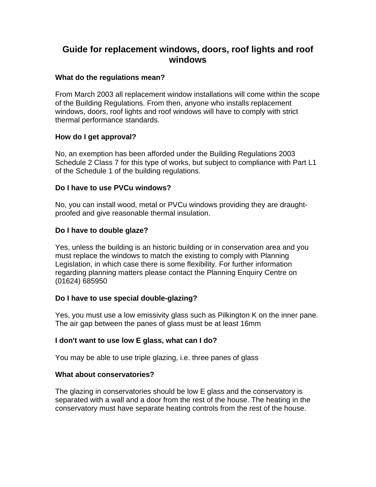# **Guide for replacement windows, doors, roof lights and roof windows**

## **What do the regulations mean?**

From March 2003 all replacement window installations will come within the scope of the Building Regulations. From then, anyone who installs replacement windows, doors, roof lights and roof windows will have to comply with strict thermal performance standards.

## **How do I get approval?**

No, an exemption has been afforded under the Building Regulations 2003 Schedule 2 Class 7 for this type of works, but subject to compliance with Part L1 of the Schedule 1 of the building regulations.

# **Do I have to use PVCu windows?**

No, you can install wood, metal or PVCu windows providing they are draughtproofed and give reasonable thermal insulation.

# **Do I have to double glaze?**

Yes, unless the building is an historic building or in conservation area and you must replace the windows to match the existing to comply with Planning Legislation, in which case there is some flexibility. For further information regarding planning matters please contact the Planning Enquiry Centre on (01624) 685950

## **Do I have to use special double-glazing?**

Yes, you must use a low emissivity glass such as Pilkington K on the inner pane. The air gap between the panes of glass must be at least 16mm

## **I don't want to use low E glass, what can I do?**

You may be able to use triple glazing, i.e. three panes of glass

## **What about conservatories?**

The glazing in conservatories should be low E glass and the conservatory is separated with a wall and a door from the rest of the house. The heating in the conservatory must have separate heating controls from the rest of the house.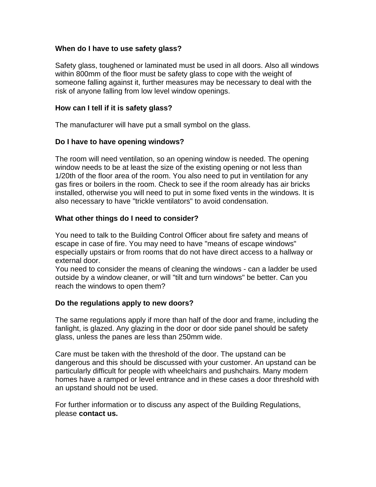## **When do I have to use safety glass?**

Safety glass, toughened or laminated must be used in all doors. Also all windows within 800mm of the floor must be safety glass to cope with the weight of someone falling against it, further measures may be necessary to deal with the risk of anyone falling from low level window openings.

#### **How can I tell if it is safety glass?**

The manufacturer will have put a small symbol on the glass.

#### **Do I have to have opening windows?**

The room will need ventilation, so an opening window is needed. The opening window needs to be at least the size of the existing opening or not less than 1/20th of the floor area of the room. You also need to put in ventilation for any gas fires or boilers in the room. Check to see if the room already has air bricks installed, otherwise you will need to put in some fixed vents in the windows. It is also necessary to have "trickle ventilators" to avoid condensation.

#### **What other things do I need to consider?**

You need to talk to the Building Control Officer about fire safety and means of escape in case of fire. You may need to have "means of escape windows" especially upstairs or from rooms that do not have direct access to a hallway or external door.

You need to consider the means of cleaning the windows - can a ladder be used outside by a window cleaner, or will "tilt and turn windows" be better. Can you reach the windows to open them?

## **Do the regulations apply to new doors?**

The same regulations apply if more than half of the door and frame, including the fanlight, is glazed. Any glazing in the door or door side panel should be safety glass, unless the panes are less than 250mm wide.

Care must be taken with the threshold of the door. The upstand can be dangerous and this should be discussed with your customer. An upstand can be particularly difficult for people with wheelchairs and pushchairs. Many modern homes have a ramped or level entrance and in these cases a door threshold with an upstand should not be used.

For further information or to discuss any aspect of the Building Regulations, please **contact us.**